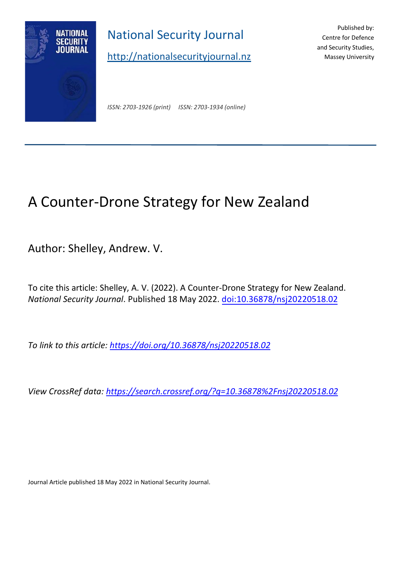

National Security Journal

[http://nationalsecurityjournal.nz](http://nationalsecurityjournal.nz/)

Published by: Centre for Defence and Security Studies, Massey University

*ISSN: 2703-1926 (print) ISSN: 2703-1934 (online)*

# A Counter-Drone Strategy for New Zealand

Author: Shelley, Andrew. V.

To cite this article: Shelley, A. V. (2022). A Counter-Drone Strategy for New Zealand. *National Security Journal*. Published 18 May 2022. [doi:10.36878/nsj20220518.02](https://doi.org/10.36878/nsj20220518.02)

*To link to this article:<https://doi.org/10.36878/nsj20220518.02>*

*View CrossRef data:<https://search.crossref.org/?q=10.36878%2Fnsj20220518.02>*

Journal Article published 18 May 2022 in National Security Journal.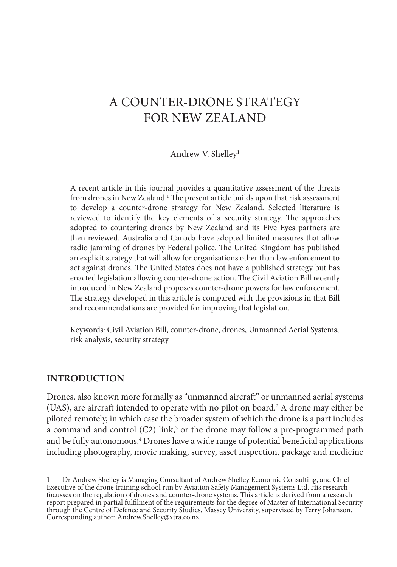## A COUNTER-DRONE STRATEGY FOR NEW ZEALAND

#### Andrew V. Shelley1

A recent article in this journal provides a quantitative assessment of the threats from drones in New Zealand.<sup>1</sup> The present article builds upon that risk assessment to develop a counter-drone strategy for New Zealand. Selected literature is reviewed to identify the key elements of a security strategy. The approaches adopted to countering drones by New Zealand and its Five Eyes partners are then reviewed. Australia and Canada have adopted limited measures that allow radio jamming of drones by Federal police. The United Kingdom has published an explicit strategy that will allow for organisations other than law enforcement to act against drones. The United States does not have a published strategy but has enacted legislation allowing counter-drone action. The Civil Aviation Bill recently introduced in New Zealand proposes counter-drone powers for law enforcement. The strategy developed in this article is compared with the provisions in that Bill and recommendations are provided for improving that legislation.

Keywords: Civil Aviation Bill, counter-drone, drones, Unmanned Aerial Systems, risk analysis, security strategy

#### **INTRODUCTION**

Drones, also known more formally as "unmanned aircraft" or unmanned aerial systems (UAS), are aircraft intended to operate with no pilot on board.2 A drone may either be piloted remotely, in which case the broader system of which the drone is a part includes a command and control  $(C2)$  link,<sup>3</sup> or the drone may follow a pre-programmed path and be fully autonomous.4 Drones have a wide range of potential beneficial applications including photography, movie making, survey, asset inspection, package and medicine

<sup>1</sup> Dr Andrew Shelley is Managing Consultant of Andrew Shelley Economic Consulting, and Chief Executive of the drone training school run by Aviation Safety Management Systems Ltd. His research focusses on the regulation of drones and counter-drone systems. This article is derived from a research report prepared in partial fulfilment of the requirements for the degree of Master of International Security through the Centre of Defence and Security Studies, Massey University, supervised by Terry Johanson. Corresponding author: Andrew.Shelley@xtra.co.nz.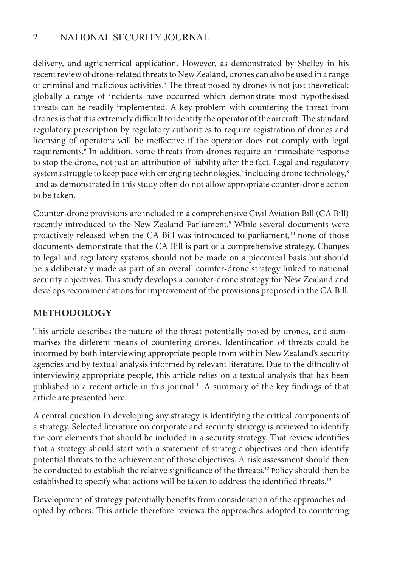delivery, and agrichemical application. However, as demonstrated by Shelley in his recent review of drone-related threats to New Zealand, drones can also be used in a range of criminal and malicious activities.<sup>5</sup> The threat posed by drones is not just theoretical: globally a range of incidents have occurred which demonstrate most hypothesised threats can be readily implemented. A key problem with countering the threat from drones is that it is extremely difficult to identify the operator of the aircraft. The standard regulatory prescription by regulatory authorities to require registration of drones and licensing of operators will be ineffective if the operator does not comply with legal requirements.6 In addition, some threats from drones require an immediate response to stop the drone, not just an attribution of liability after the fact. Legal and regulatory systems struggle to keep pace with emerging technologies,<sup>7</sup> including drone technology, $^8$  and as demonstrated in this study often do not allow appropriate counter-drone action to be taken.

Counter-drone provisions are included in a comprehensive Civil Aviation Bill (CA Bill) recently introduced to the New Zealand Parliament.<sup>9</sup> While several documents were proactively released when the CA Bill was introduced to parliament, $10$  none of those documents demonstrate that the CA Bill is part of a comprehensive strategy. Changes to legal and regulatory systems should not be made on a piecemeal basis but should be a deliberately made as part of an overall counter-drone strategy linked to national security objectives. This study develops a counter-drone strategy for New Zealand and develops recommendations for improvement of the provisions proposed in the CA Bill.

## **METHODOLOGY**

This article describes the nature of the threat potentially posed by drones, and summarises the different means of countering drones. Identification of threats could be informed by both interviewing appropriate people from within New Zealand's security agencies and by textual analysis informed by relevant literature. Due to the difficulty of interviewing appropriate people, this article relies on a textual analysis that has been published in a recent article in this journal.11 A summary of the key findings of that article are presented here.

A central question in developing any strategy is identifying the critical components of a strategy. Selected literature on corporate and security strategy is reviewed to identify the core elements that should be included in a security strategy. That review identifies that a strategy should start with a statement of strategic objectives and then identify potential threats to the achievement of those objectives. A risk assessment should then be conducted to establish the relative significance of the threats.<sup>12</sup> Policy should then be established to specify what actions will be taken to address the identified threats.<sup>13</sup>

Development of strategy potentially benefits from consideration of the approaches adopted by others. This article therefore reviews the approaches adopted to countering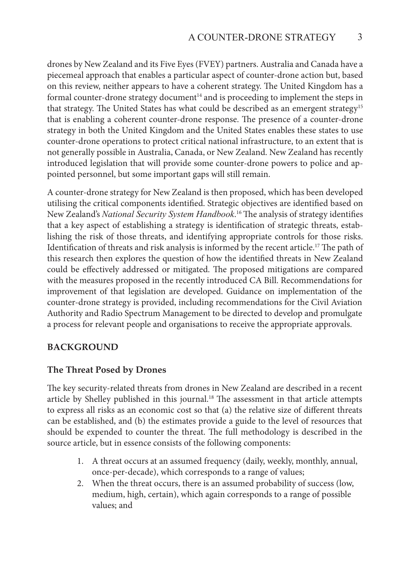drones by New Zealand and its Five Eyes (FVEY) partners. Australia and Canada have a piecemeal approach that enables a particular aspect of counter-drone action but, based on this review, neither appears to have a coherent strategy. The United Kingdom has a formal counter-drone strategy document<sup>14</sup> and is proceeding to implement the steps in that strategy. The United States has what could be described as an emergent strategy<sup>15</sup> that is enabling a coherent counter-drone response. The presence of a counter-drone strategy in both the United Kingdom and the United States enables these states to use counter-drone operations to protect critical national infrastructure, to an extent that is not generally possible in Australia, Canada, or New Zealand. New Zealand has recently introduced legislation that will provide some counter-drone powers to police and appointed personnel, but some important gaps will still remain.

A counter-drone strategy for New Zealand is then proposed, which has been developed utilising the critical components identified. Strategic objectives are identified based on New Zealand's *National Security System Handbook*. <sup>16</sup> The analysis of strategy identifies that a key aspect of establishing a strategy is identification of strategic threats, establishing the risk of those threats, and identifying appropriate controls for those risks. Identification of threats and risk analysis is informed by the recent article.17 The path of this research then explores the question of how the identified threats in New Zealand could be effectively addressed or mitigated. The proposed mitigations are compared with the measures proposed in the recently introduced CA Bill. Recommendations for improvement of that legislation are developed. Guidance on implementation of the counter-drone strategy is provided, including recommendations for the Civil Aviation Authority and Radio Spectrum Management to be directed to develop and promulgate a process for relevant people and organisations to receive the appropriate approvals.

#### **BACKGROUND**

#### **The Threat Posed by Drones**

The key security-related threats from drones in New Zealand are described in a recent article by Shelley published in this journal.<sup>18</sup> The assessment in that article attempts to express all risks as an economic cost so that (a) the relative size of different threats can be established, and (b) the estimates provide a guide to the level of resources that should be expended to counter the threat. The full methodology is described in the source article, but in essence consists of the following components:

- 1. A threat occurs at an assumed frequency (daily, weekly, monthly, annual, once-per-decade), which corresponds to a range of values;
- 2. When the threat occurs, there is an assumed probability of success (low, medium, high, certain), which again corresponds to a range of possible values; and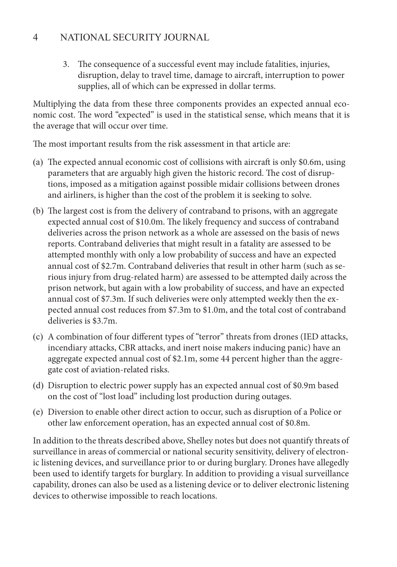3. The consequence of a successful event may include fatalities, injuries, disruption, delay to travel time, damage to aircraft, interruption to power supplies, all of which can be expressed in dollar terms.

Multiplying the data from these three components provides an expected annual economic cost. The word "expected" is used in the statistical sense, which means that it is the average that will occur over time.

The most important results from the risk assessment in that article are:

- (a) The expected annual economic cost of collisions with aircraft is only \$0.6m, using parameters that are arguably high given the historic record. The cost of disruptions, imposed as a mitigation against possible midair collisions between drones and airliners, is higher than the cost of the problem it is seeking to solve.
- (b) The largest cost is from the delivery of contraband to prisons, with an aggregate expected annual cost of \$10.0m. The likely frequency and success of contraband deliveries across the prison network as a whole are assessed on the basis of news reports. Contraband deliveries that might result in a fatality are assessed to be attempted monthly with only a low probability of success and have an expected annual cost of \$2.7m. Contraband deliveries that result in other harm (such as serious injury from drug-related harm) are assessed to be attempted daily across the prison network, but again with a low probability of success, and have an expected annual cost of \$7.3m. If such deliveries were only attempted weekly then the expected annual cost reduces from \$7.3m to \$1.0m, and the total cost of contraband deliveries is \$3.7m.
- (c) A combination of four different types of "terror" threats from drones (IED attacks, incendiary attacks, CBR attacks, and inert noise makers inducing panic) have an aggregate expected annual cost of \$2.1m, some 44 percent higher than the aggregate cost of aviation-related risks.
- (d) Disruption to electric power supply has an expected annual cost of \$0.9m based on the cost of "lost load" including lost production during outages.
- (e) Diversion to enable other direct action to occur, such as disruption of a Police or other law enforcement operation, has an expected annual cost of \$0.8m.

In addition to the threats described above, Shelley notes but does not quantify threats of surveillance in areas of commercial or national security sensitivity, delivery of electronic listening devices, and surveillance prior to or during burglary. Drones have allegedly been used to identify targets for burglary. In addition to providing a visual surveillance capability, drones can also be used as a listening device or to deliver electronic listening devices to otherwise impossible to reach locations.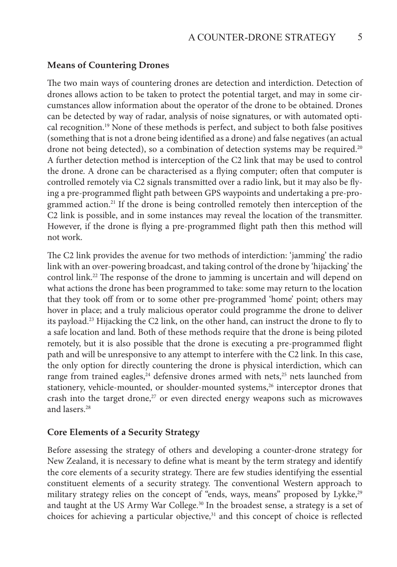#### **Means of Countering Drones**

The two main ways of countering drones are detection and interdiction. Detection of drones allows action to be taken to protect the potential target, and may in some circumstances allow information about the operator of the drone to be obtained. Drones can be detected by way of radar, analysis of noise signatures, or with automated optical recognition.19 None of these methods is perfect, and subject to both false positives (something that is not a drone being identified as a drone) and false negatives (an actual drone not being detected), so a combination of detection systems may be required.<sup>20</sup> A further detection method is interception of the C2 link that may be used to control the drone. A drone can be characterised as a flying computer; often that computer is controlled remotely via C2 signals transmitted over a radio link, but it may also be flying a pre-programmed flight path between GPS waypoints and undertaking a pre-programmed action.<sup>21</sup> If the drone is being controlled remotely then interception of the C2 link is possible, and in some instances may reveal the location of the transmitter. However, if the drone is flying a pre-programmed flight path then this method will not work.

The C2 link provides the avenue for two methods of interdiction: 'jamming' the radio link with an over-powering broadcast, and taking control of the drone by 'hijacking' the control link.<sup>22</sup> The response of the drone to jamming is uncertain and will depend on what actions the drone has been programmed to take: some may return to the location that they took off from or to some other pre-programmed 'home' point; others may hover in place; and a truly malicious operator could programme the drone to deliver its payload.23 Hijacking the C2 link, on the other hand, can instruct the drone to fly to a safe location and land. Both of these methods require that the drone is being piloted remotely, but it is also possible that the drone is executing a pre-programmed flight path and will be unresponsive to any attempt to interfere with the C2 link. In this case, the only option for directly countering the drone is physical interdiction, which can range from trained eagles,<sup>24</sup> defensive drones armed with nets,<sup>25</sup> nets launched from stationery, vehicle-mounted, or shoulder-mounted systems,<sup>26</sup> interceptor drones that crash into the target drone, $27$  or even directed energy weapons such as microwaves and lasers<sup>28</sup>

#### **Core Elements of a Security Strategy**

Before assessing the strategy of others and developing a counter-drone strategy for New Zealand, it is necessary to define what is meant by the term strategy and identify the core elements of a security strategy. There are few studies identifying the essential constituent elements of a security strategy. The conventional Western approach to military strategy relies on the concept of "ends, ways, means" proposed by Lykke,<sup>29</sup> and taught at the US Army War College.<sup>30</sup> In the broadest sense, a strategy is a set of choices for achieving a particular objective, $31$  and this concept of choice is reflected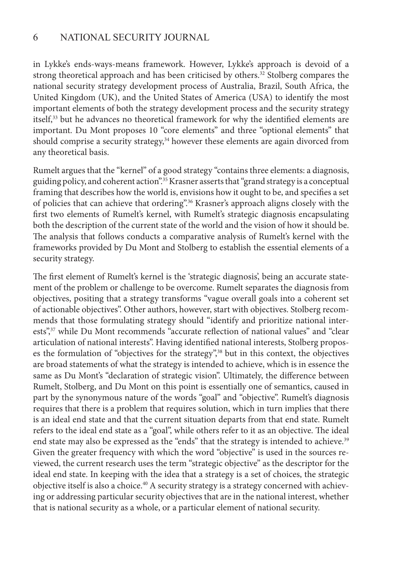in Lykke's ends-ways-means framework. However, Lykke's approach is devoid of a strong theoretical approach and has been criticised by others.<sup>32</sup> Stolberg compares the national security strategy development process of Australia, Brazil, South Africa, the United Kingdom (UK), and the United States of America (USA) to identify the most important elements of both the strategy development process and the security strategy itself,<sup>33</sup> but he advances no theoretical framework for why the identified elements are important. Du Mont proposes 10 "core elements" and three "optional elements" that should comprise a security strategy, $34$  however these elements are again divorced from any theoretical basis.

Rumelt argues that the "kernel" of a good strategy "contains three elements: a diagnosis, guiding policy, and coherent action".<sup>35</sup> Krasner asserts that "grand strategy is a conceptual framing that describes how the world is, envisions how it ought to be, and specifies a set of policies that can achieve that ordering".36 Krasner's approach aligns closely with the first two elements of Rumelt's kernel, with Rumelt's strategic diagnosis encapsulating both the description of the current state of the world and the vision of how it should be. The analysis that follows conducts a comparative analysis of Rumelt's kernel with the frameworks provided by Du Mont and Stolberg to establish the essential elements of a security strategy.

The first element of Rumelt's kernel is the 'strategic diagnosis', being an accurate statement of the problem or challenge to be overcome. Rumelt separates the diagnosis from objectives, positing that a strategy transforms "vague overall goals into a coherent set of actionable objectives". Other authors, however, start with objectives. Stolberg recommends that those formulating strategy should "identify and prioritize national interests",<sup>37</sup> while Du Mont recommends "accurate reflection of national values" and "clear articulation of national interests". Having identified national interests, Stolberg proposes the formulation of "objectives for the strategy",<sup>38</sup> but in this context, the objectives are broad statements of what the strategy is intended to achieve, which is in essence the same as Du Mont's "declaration of strategic vision". Ultimately, the difference between Rumelt, Stolberg, and Du Mont on this point is essentially one of semantics, caused in part by the synonymous nature of the words "goal" and "objective". Rumelt's diagnosis requires that there is a problem that requires solution, which in turn implies that there is an ideal end state and that the current situation departs from that end state. Rumelt refers to the ideal end state as a "goal", while others refer to it as an objective. The ideal end state may also be expressed as the "ends" that the strategy is intended to achieve.<sup>39</sup> Given the greater frequency with which the word "objective" is used in the sources reviewed, the current research uses the term "strategic objective" as the descriptor for the ideal end state. In keeping with the idea that a strategy is a set of choices, the strategic objective itself is also a choice.<sup>40</sup> A security strategy is a strategy concerned with achieving or addressing particular security objectives that are in the national interest, whether that is national security as a whole, or a particular element of national security.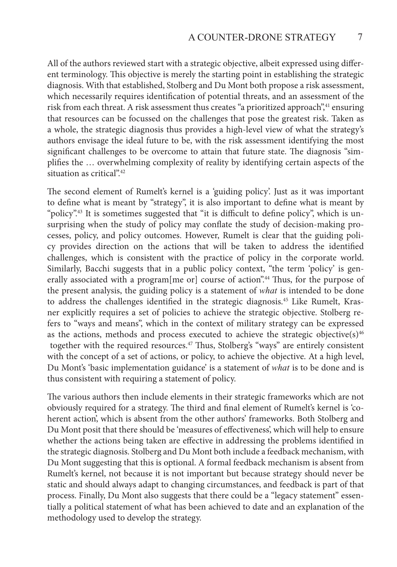All of the authors reviewed start with a strategic objective, albeit expressed using different terminology. This objective is merely the starting point in establishing the strategic diagnosis. With that established, Stolberg and Du Mont both propose a risk assessment, which necessarily requires identification of potential threats, and an assessment of the risk from each threat. A risk assessment thus creates "a prioritized approach",<sup>41</sup> ensuring that resources can be focussed on the challenges that pose the greatest risk. Taken as a whole, the strategic diagnosis thus provides a high-level view of what the strategy's authors envisage the ideal future to be, with the risk assessment identifying the most significant challenges to be overcome to attain that future state. The diagnosis "simplifies the … overwhelming complexity of reality by identifying certain aspects of the situation as critical".<sup>42</sup>

The second element of Rumelt's kernel is a 'guiding policy'. Just as it was important to define what is meant by "strategy", it is also important to define what is meant by "policy".<sup>43</sup> It is sometimes suggested that "it is difficult to define policy", which is unsurprising when the study of policy may conflate the study of decision-making processes, policy, and policy outcomes. However, Rumelt is clear that the guiding policy provides direction on the actions that will be taken to address the identified challenges, which is consistent with the practice of policy in the corporate world. Similarly, Bacchi suggests that in a public policy context, "the term 'policy' is generally associated with a program[me or] course of action".<sup>44</sup> Thus, for the purpose of the present analysis, the guiding policy is a statement of *what* is intended to be done to address the challenges identified in the strategic diagnosis.45 Like Rumelt, Krasner explicitly requires a set of policies to achieve the strategic objective. Stolberg refers to "ways and means", which in the context of military strategy can be expressed as the actions, methods and process executed to achieve the strategic objective(s) $46$  together with the required resources.47 Thus, Stolberg's "ways" are entirely consistent with the concept of a set of actions, or policy, to achieve the objective. At a high level, Du Mont's 'basic implementation guidance' is a statement of *what* is to be done and is thus consistent with requiring a statement of policy.

The various authors then include elements in their strategic frameworks which are not obviously required for a strategy. The third and final element of Rumelt's kernel is 'coherent action', which is absent from the other authors' frameworks. Both Stolberg and Du Mont posit that there should be 'measures of effectiveness', which will help to ensure whether the actions being taken are effective in addressing the problems identified in the strategic diagnosis. Stolberg and Du Mont both include a feedback mechanism, with Du Mont suggesting that this is optional. A formal feedback mechanism is absent from Rumelt's kernel, not because it is not important but because strategy should never be static and should always adapt to changing circumstances, and feedback is part of that process. Finally, Du Mont also suggests that there could be a "legacy statement" essentially a political statement of what has been achieved to date and an explanation of the methodology used to develop the strategy.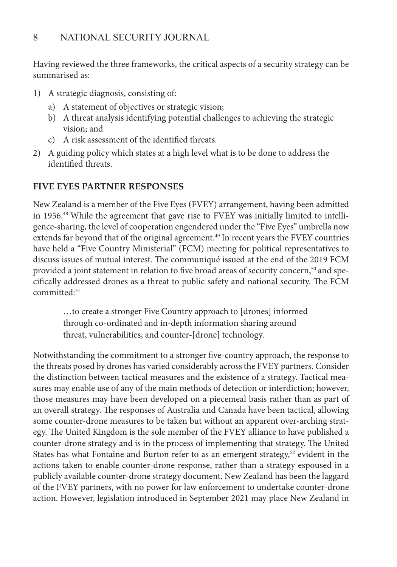Having reviewed the three frameworks, the critical aspects of a security strategy can be summarised as:

- 1) A strategic diagnosis, consisting of:
	- a) A statement of objectives or strategic vision;
	- b) A threat analysis identifying potential challenges to achieving the strategic vision; and
	- c) A risk assessment of the identified threats.
- 2) A guiding policy which states at a high level what is to be done to address the identified threats.

#### **FIVE EYES PARTNER RESPONSES**

New Zealand is a member of the Five Eyes (FVEY) arrangement, having been admitted in 1956.48 While the agreement that gave rise to FVEY was initially limited to intelligence-sharing, the level of cooperation engendered under the "Five Eyes" umbrella now extends far beyond that of the original agreement.<sup>49</sup> In recent years the FVEY countries have held a "Five Country Ministerial" (FCM) meeting for political representatives to discuss issues of mutual interest. The communiqué issued at the end of the 2019 FCM provided a joint statement in relation to five broad areas of security concern,<sup>50</sup> and specifically addressed drones as a threat to public safety and national security. The FCM committed:51

…to create a stronger Five Country approach to [drones] informed through co-ordinated and in-depth information sharing around threat, vulnerabilities, and counter-[drone] technology.

Notwithstanding the commitment to a stronger five-country approach, the response to the threats posed by drones has varied considerably across the FVEY partners. Consider the distinction between tactical measures and the existence of a strategy. Tactical measures may enable use of any of the main methods of detection or interdiction; however, those measures may have been developed on a piecemeal basis rather than as part of an overall strategy. The responses of Australia and Canada have been tactical, allowing some counter-drone measures to be taken but without an apparent over-arching strategy. The United Kingdom is the sole member of the FVEY alliance to have published a counter-drone strategy and is in the process of implementing that strategy. The United States has what Fontaine and Burton refer to as an emergent strategy,<sup>52</sup> evident in the actions taken to enable counter-drone response, rather than a strategy espoused in a publicly available counter-drone strategy document. New Zealand has been the laggard of the FVEY partners, with no power for law enforcement to undertake counter-drone action. However, legislation introduced in September 2021 may place New Zealand in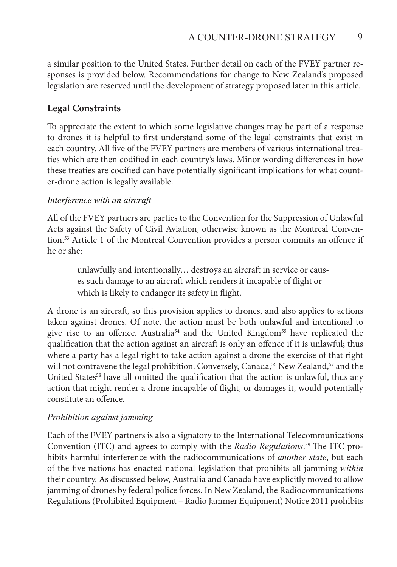a similar position to the United States. Further detail on each of the FVEY partner responses is provided below. Recommendations for change to New Zealand's proposed legislation are reserved until the development of strategy proposed later in this article.

#### **Legal Constraints**

To appreciate the extent to which some legislative changes may be part of a response to drones it is helpful to first understand some of the legal constraints that exist in each country. All five of the FVEY partners are members of various international treaties which are then codified in each country's laws. Minor wording differences in how these treaties are codified can have potentially significant implications for what counter-drone action is legally available.

#### *Interference with an aircraft*

All of the FVEY partners are parties to the Convention for the Suppression of Unlawful Acts against the Safety of Civil Aviation, otherwise known as the Montreal Convention.53 Article 1 of the Montreal Convention provides a person commits an offence if he or she:

unlawfully and intentionally… destroys an aircraft in service or causes such damage to an aircraft which renders it incapable of flight or which is likely to endanger its safety in flight.

A drone is an aircraft, so this provision applies to drones, and also applies to actions taken against drones. Of note, the action must be both unlawful and intentional to give rise to an offence. Australia<sup>54</sup> and the United Kingdom<sup>55</sup> have replicated the qualification that the action against an aircraft is only an offence if it is unlawful; thus where a party has a legal right to take action against a drone the exercise of that right will not contravene the legal prohibition. Conversely, Canada,  $56$  New Zealand,  $57$  and the United States<sup>58</sup> have all omitted the qualification that the action is unlawful, thus any action that might render a drone incapable of flight, or damages it, would potentially constitute an offence.

#### *Prohibition against jamming*

Each of the FVEY partners is also a signatory to the International Telecommunications Convention (ITC) and agrees to comply with the *Radio Regulations*. <sup>59</sup> The ITC prohibits harmful interference with the radiocommunications of *another state*, but each of the five nations has enacted national legislation that prohibits all jamming *within* their country. As discussed below, Australia and Canada have explicitly moved to allow jamming of drones by federal police forces. In New Zealand, the Radiocommunications Regulations (Prohibited Equipment – Radio Jammer Equipment) Notice 2011 prohibits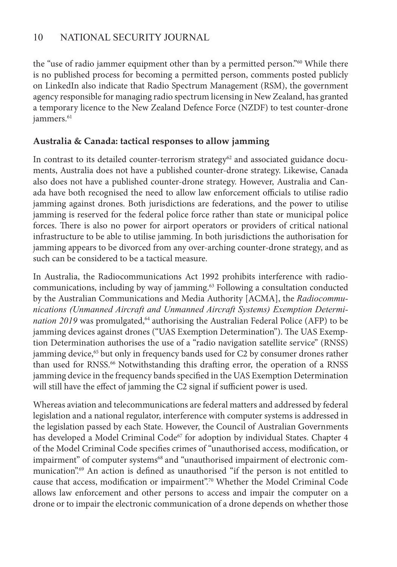the "use of radio jammer equipment other than by a permitted person."60 While there is no published process for becoming a permitted person, comments posted publicly on LinkedIn also indicate that Radio Spectrum Management (RSM), the government agency responsible for managing radio spectrum licensing in New Zealand, has granted a temporary licence to the New Zealand Defence Force (NZDF) to test counter-drone jammers.<sup>61</sup>

#### **Australia & Canada: tactical responses to allow jamming**

In contrast to its detailed counter-terrorism strategy $62$  and associated guidance documents, Australia does not have a published counter-drone strategy. Likewise, Canada also does not have a published counter-drone strategy. However, Australia and Canada have both recognised the need to allow law enforcement officials to utilise radio jamming against drones. Both jurisdictions are federations, and the power to utilise jamming is reserved for the federal police force rather than state or municipal police forces. There is also no power for airport operators or providers of critical national infrastructure to be able to utilise jamming. In both jurisdictions the authorisation for jamming appears to be divorced from any over-arching counter-drone strategy, and as such can be considered to be a tactical measure.

In Australia, the Radiocommunications Act 1992 prohibits interference with radiocommunications, including by way of jamming.<sup>63</sup> Following a consultation conducted by the Australian Communications and Media Authority [ACMA], the *Radiocommunications (Unmanned Aircraft and Unmanned Aircraft Systems) Exemption Determination 2019* was promulgated,<sup>64</sup> authorising the Australian Federal Police (AFP) to be jamming devices against drones ("UAS Exemption Determination"). The UAS Exemption Determination authorises the use of a "radio navigation satellite service" (RNSS) jamming device,<sup>65</sup> but only in frequency bands used for C2 by consumer drones rather than used for RNSS.<sup>66</sup> Notwithstanding this drafting error, the operation of a RNSS jamming device in the frequency bands specified in the UAS Exemption Determination will still have the effect of jamming the C2 signal if sufficient power is used.

Whereas aviation and telecommunications are federal matters and addressed by federal legislation and a national regulator, interference with computer systems is addressed in the legislation passed by each State. However, the Council of Australian Governments has developed a Model Criminal Code<sup>67</sup> for adoption by individual States. Chapter 4 of the Model Criminal Code specifies crimes of "unauthorised access, modification, or impairment" of computer systems<sup>68</sup> and "unauthorised impairment of electronic communication".69 An action is defined as unauthorised "if the person is not entitled to cause that access, modification or impairment".70 Whether the Model Criminal Code allows law enforcement and other persons to access and impair the computer on a drone or to impair the electronic communication of a drone depends on whether those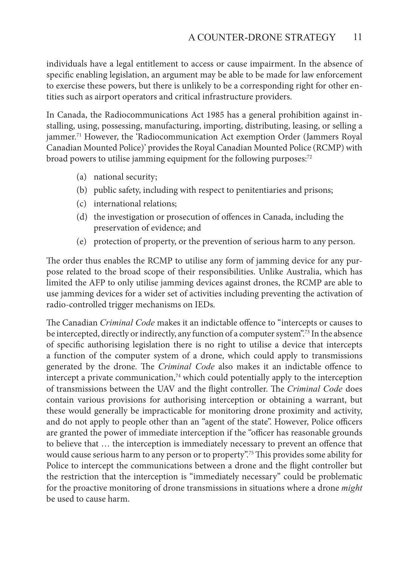individuals have a legal entitlement to access or cause impairment. In the absence of specific enabling legislation, an argument may be able to be made for law enforcement to exercise these powers, but there is unlikely to be a corresponding right for other entities such as airport operators and critical infrastructure providers.

In Canada, the Radiocommunications Act 1985 has a general prohibition against installing, using, possessing, manufacturing, importing, distributing, leasing, or selling a jammer.<sup>71</sup> However, the 'Radiocommunication Act exemption Order (Jammers Royal Canadian Mounted Police)' provides the Royal Canadian Mounted Police (RCMP) with broad powers to utilise jamming equipment for the following purposes:<sup>72</sup>

- (a) national security;
- (b) public safety, including with respect to penitentiaries and prisons;
- (c) international relations;
- (d) the investigation or prosecution of offences in Canada, including the preservation of evidence; and
- (e) protection of property, or the prevention of serious harm to any person.

The order thus enables the RCMP to utilise any form of jamming device for any purpose related to the broad scope of their responsibilities. Unlike Australia, which has limited the AFP to only utilise jamming devices against drones, the RCMP are able to use jamming devices for a wider set of activities including preventing the activation of radio-controlled trigger mechanisms on IEDs.

The Canadian *Criminal Code* makes it an indictable offence to "intercepts or causes to be intercepted, directly or indirectly, any function of a computer system".<sup>73</sup> In the absence of specific authorising legislation there is no right to utilise a device that intercepts a function of the computer system of a drone, which could apply to transmissions generated by the drone. The *Criminal Code* also makes it an indictable offence to intercept a private communication, $74$  which could potentially apply to the interception of transmissions between the UAV and the flight controller. The *Criminal Code* does contain various provisions for authorising interception or obtaining a warrant, but these would generally be impracticable for monitoring drone proximity and activity, and do not apply to people other than an "agent of the state". However, Police officers are granted the power of immediate interception if the "officer has reasonable grounds to believe that … the interception is immediately necessary to prevent an offence that would cause serious harm to any person or to property".75 This provides some ability for Police to intercept the communications between a drone and the flight controller but the restriction that the interception is "immediately necessary" could be problematic for the proactive monitoring of drone transmissions in situations where a drone *might* be used to cause harm.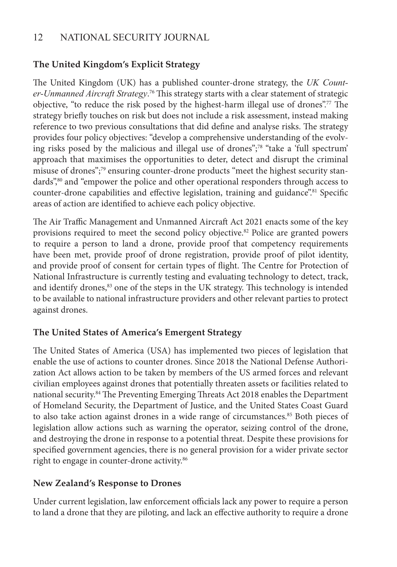## **The United Kingdom's Explicit Strategy**

The United Kingdom (UK) has a published counter-drone strategy, the *UK Counter-Unmanned Aircraft Strategy*. <sup>76</sup> This strategy starts with a clear statement of strategic objective, "to reduce the risk posed by the highest-harm illegal use of drones".77 The strategy briefly touches on risk but does not include a risk assessment, instead making reference to two previous consultations that did define and analyse risks. The strategy provides four policy objectives: "develop a comprehensive understanding of the evolving risks posed by the malicious and illegal use of drones";78 "take a 'full spectrum' approach that maximises the opportunities to deter, detect and disrupt the criminal misuse of drones";79 ensuring counter-drone products "meet the highest security standards",<sup>80</sup> and "empower the police and other operational responders through access to counter-drone capabilities and effective legislation, training and guidance".<sup>81</sup> Specific areas of action are identified to achieve each policy objective.

The Air Traffic Management and Unmanned Aircraft Act 2021 enacts some of the key provisions required to meet the second policy objective.82 Police are granted powers to require a person to land a drone, provide proof that competency requirements have been met, provide proof of drone registration, provide proof of pilot identity, and provide proof of consent for certain types of flight. The Centre for Protection of National Infrastructure is currently testing and evaluating technology to detect, track, and identify drones,<sup>83</sup> one of the steps in the UK strategy. This technology is intended to be available to national infrastructure providers and other relevant parties to protect against drones.

## **The United States of America's Emergent Strategy**

The United States of America (USA) has implemented two pieces of legislation that enable the use of actions to counter drones. Since 2018 the National Defense Authorization Act allows action to be taken by members of the US armed forces and relevant civilian employees against drones that potentially threaten assets or facilities related to national security.84 The Preventing Emerging Threats Act 2018 enables the Department of Homeland Security, the Department of Justice, and the United States Coast Guard to also take action against drones in a wide range of circumstances.<sup>85</sup> Both pieces of legislation allow actions such as warning the operator, seizing control of the drone, and destroying the drone in response to a potential threat. Despite these provisions for specified government agencies, there is no general provision for a wider private sector right to engage in counter-drone activity.<sup>86</sup>

## **New Zealand's Response to Drones**

Under current legislation, law enforcement officials lack any power to require a person to land a drone that they are piloting, and lack an effective authority to require a drone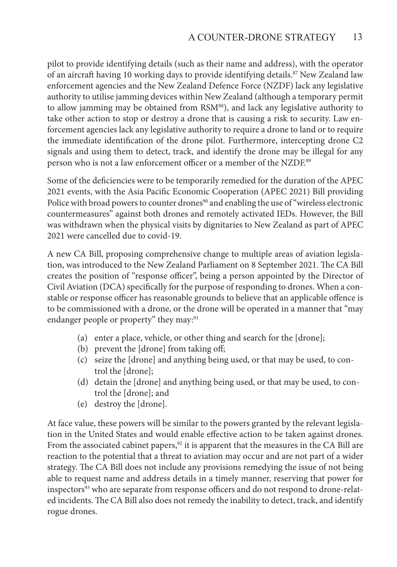pilot to provide identifying details (such as their name and address), with the operator of an aircraft having 10 working days to provide identifying details.<sup>87</sup> New Zealand law enforcement agencies and the New Zealand Defence Force (NZDF) lack any legislative authority to utilise jamming devices within New Zealand (although a temporary permit to allow jamming may be obtained from RSM<sup>88</sup>), and lack any legislative authority to take other action to stop or destroy a drone that is causing a risk to security. Law enforcement agencies lack any legislative authority to require a drone to land or to require the immediate identification of the drone pilot. Furthermore, intercepting drone C2 signals and using them to detect, track, and identify the drone may be illegal for any person who is not a law enforcement officer or a member of the NZDF.<sup>89</sup>

Some of the deficiencies were to be temporarily remedied for the duration of the APEC 2021 events, with the Asia Pacific Economic Cooperation (APEC 2021) Bill providing Police with broad powers to counter drones<sup>90</sup> and enabling the use of "wireless electronic countermeasures" against both drones and remotely activated IEDs. However, the Bill was withdrawn when the physical visits by dignitaries to New Zealand as part of APEC 2021 were cancelled due to covid-19.

A new CA Bill, proposing comprehensive change to multiple areas of aviation legislation, was introduced to the New Zealand Parliament on 8 September 2021. The CA Bill creates the position of "response officer", being a person appointed by the Director of Civil Aviation (DCA) specifically for the purpose of responding to drones. When a constable or response officer has reasonable grounds to believe that an applicable offence is to be commissioned with a drone, or the drone will be operated in a manner that "may endanger people or property" they may:<sup>91</sup>

- (a) enter a place, vehicle, or other thing and search for the [drone];
- (b) prevent the [drone] from taking off;
- (c) seize the [drone] and anything being used, or that may be used, to control the [drone];
- (d) detain the [drone] and anything being used, or that may be used, to control the [drone]; and
- (e) destroy the [drone].

At face value, these powers will be similar to the powers granted by the relevant legislation in the United States and would enable effective action to be taken against drones. From the associated cabinet papers,<sup>92</sup> it is apparent that the measures in the CA Bill are reaction to the potential that a threat to aviation may occur and are not part of a wider strategy. The CA Bill does not include any provisions remedying the issue of not being able to request name and address details in a timely manner, reserving that power for inspectors<sup>93</sup> who are separate from response officers and do not respond to drone-related incidents. The CA Bill also does not remedy the inability to detect, track, and identify rogue drones.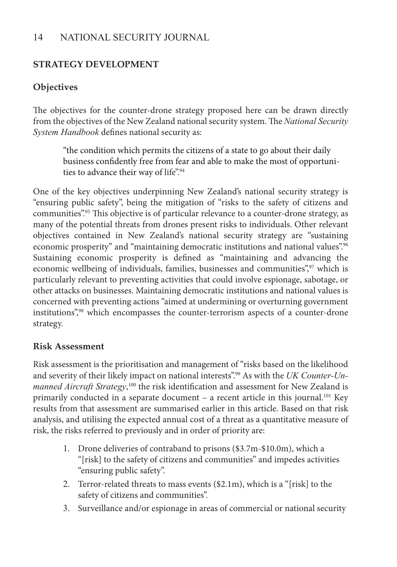#### **STRATEGY DEVELOPMENT**

## **Objectives**

The objectives for the counter-drone strategy proposed here can be drawn directly from the objectives of the New Zealand national security system. The *National Security System Handbook* defines national security as:

"the condition which permits the citizens of a state to go about their daily business confidently free from fear and able to make the most of opportunities to advance their way of life".<sup>94</sup>

One of the key objectives underpinning New Zealand's national security strategy is "ensuring public safety", being the mitigation of "risks to the safety of citizens and communities".<sup>95</sup> This objective is of particular relevance to a counter-drone strategy, as many of the potential threats from drones present risks to individuals. Other relevant objectives contained in New Zealand's national security strategy are "sustaining economic prosperity" and "maintaining democratic institutions and national values".<sup>96</sup> Sustaining economic prosperity is defined as "maintaining and advancing the economic wellbeing of individuals, families, businesses and communities",<sup>97</sup> which is particularly relevant to preventing activities that could involve espionage, sabotage, or other attacks on businesses. Maintaining democratic institutions and national values is concerned with preventing actions "aimed at undermining or overturning government institutions",98 which encompasses the counter-terrorism aspects of a counter-drone strategy.

#### **Risk Assessment**

Risk assessment is the prioritisation and management of "risks based on the likelihood and severity of their likely impact on national interests".99 As with the *UK Counter-Un*manned Aircraft Strategy,<sup>100</sup> the risk identification and assessment for New Zealand is primarily conducted in a separate document – a recent article in this journal.<sup>101</sup> Key results from that assessment are summarised earlier in this article. Based on that risk analysis, and utilising the expected annual cost of a threat as a quantitative measure of risk, the risks referred to previously and in order of priority are:

- 1. Drone deliveries of contraband to prisons (\$3.7m-\$10.0m), which a "[risk] to the safety of citizens and communities" and impedes activities "ensuring public safety".
- 2. Terror-related threats to mass events (\$2.1m), which is a "[risk] to the safety of citizens and communities".
- 3. Surveillance and/or espionage in areas of commercial or national security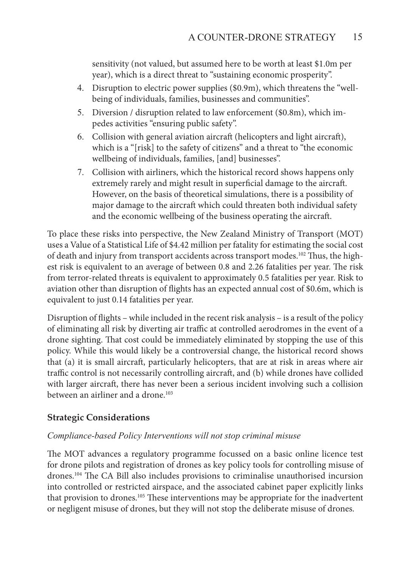sensitivity (not valued, but assumed here to be worth at least \$1.0m per year), which is a direct threat to "sustaining economic prosperity".

- 4. Disruption to electric power supplies (\$0.9m), which threatens the "wellbeing of individuals, families, businesses and communities".
- 5. Diversion / disruption related to law enforcement (\$0.8m), which impedes activities "ensuring public safety".
- 6. Collision with general aviation aircraft (helicopters and light aircraft), which is a "[risk] to the safety of citizens" and a threat to "the economic wellbeing of individuals, families, [and] businesses".
- 7. Collision with airliners, which the historical record shows happens only extremely rarely and might result in superficial damage to the aircraft. However, on the basis of theoretical simulations, there is a possibility of major damage to the aircraft which could threaten both individual safety and the economic wellbeing of the business operating the aircraft.

To place these risks into perspective, the New Zealand Ministry of Transport (MOT) uses a Value of a Statistical Life of \$4.42 million per fatality for estimating the social cost of death and injury from transport accidents across transport modes.<sup>102</sup> Thus, the highest risk is equivalent to an average of between 0.8 and 2.26 fatalities per year. The risk from terror-related threats is equivalent to approximately 0.5 fatalities per year. Risk to aviation other than disruption of flights has an expected annual cost of \$0.6m, which is equivalent to just 0.14 fatalities per year.

Disruption of flights – while included in the recent risk analysis – is a result of the policy of eliminating all risk by diverting air traffic at controlled aerodromes in the event of a drone sighting. That cost could be immediately eliminated by stopping the use of this policy. While this would likely be a controversial change, the historical record shows that (a) it is small aircraft, particularly helicopters, that are at risk in areas where air traffic control is not necessarily controlling aircraft, and (b) while drones have collided with larger aircraft, there has never been a serious incident involving such a collision between an airliner and a drone.<sup>103</sup>

## **Strategic Considerations**

#### *Compliance-based Policy Interventions will not stop criminal misuse*

The MOT advances a regulatory programme focussed on a basic online licence test for drone pilots and registration of drones as key policy tools for controlling misuse of drones.104 The CA Bill also includes provisions to criminalise unauthorised incursion into controlled or restricted airspace, and the associated cabinet paper explicitly links that provision to drones.<sup>105</sup> These interventions may be appropriate for the inadvertent or negligent misuse of drones, but they will not stop the deliberate misuse of drones.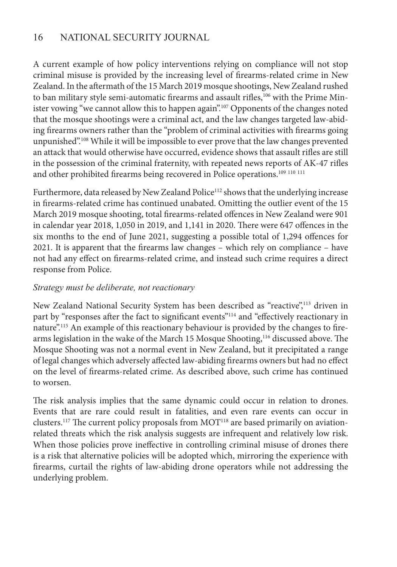A current example of how policy interventions relying on compliance will not stop criminal misuse is provided by the increasing level of firearms-related crime in New Zealand. In the aftermath of the 15 March 2019 mosque shootings, New Zealand rushed to ban military style semi-automatic firearms and assault rifles,<sup>106</sup> with the Prime Minister vowing "we cannot allow this to happen again".107 Opponents of the changes noted that the mosque shootings were a criminal act, and the law changes targeted law-abiding firearms owners rather than the "problem of criminal activities with firearms going unpunished".108 While it will be impossible to ever prove that the law changes prevented an attack that would otherwise have occurred, evidence shows that assault rifles are still in the possession of the criminal fraternity, with repeated news reports of AK-47 rifles and other prohibited firearms being recovered in Police operations.<sup>109 110</sup> <sup>111</sup>

Furthermore, data released by New Zealand Police<sup>112</sup> shows that the underlying increase in firearms-related crime has continued unabated. Omitting the outlier event of the 15 March 2019 mosque shooting, total firearms-related offences in New Zealand were 901 in calendar year 2018, 1,050 in 2019, and 1,141 in 2020. There were 647 offences in the six months to the end of June 2021, suggesting a possible total of 1,294 offences for 2021. It is apparent that the firearms law changes – which rely on compliance – have not had any effect on firearms-related crime, and instead such crime requires a direct response from Police.

#### *Strategy must be deliberate, not reactionary*

New Zealand National Security System has been described as "reactive",<sup>113</sup> driven in part by "responses after the fact to significant events"<sup>114</sup> and "effectively reactionary in nature".<sup>115</sup> An example of this reactionary behaviour is provided by the changes to firearms legislation in the wake of the March 15 Mosque Shooting,<sup>116</sup> discussed above. The Mosque Shooting was not a normal event in New Zealand, but it precipitated a range of legal changes which adversely affected law-abiding firearms owners but had no effect on the level of firearms-related crime. As described above, such crime has continued to worsen.

The risk analysis implies that the same dynamic could occur in relation to drones. Events that are rare could result in fatalities, and even rare events can occur in clusters.<sup>117</sup> The current policy proposals from MOT<sup>118</sup> are based primarily on aviationrelated threats which the risk analysis suggests are infrequent and relatively low risk. When those policies prove ineffective in controlling criminal misuse of drones there is a risk that alternative policies will be adopted which, mirroring the experience with firearms, curtail the rights of law-abiding drone operators while not addressing the underlying problem.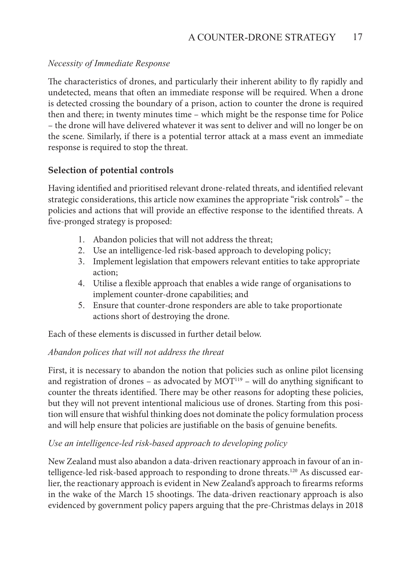#### *Necessity of Immediate Response*

The characteristics of drones, and particularly their inherent ability to fly rapidly and undetected, means that often an immediate response will be required. When a drone is detected crossing the boundary of a prison, action to counter the drone is required then and there; in twenty minutes time – which might be the response time for Police – the drone will have delivered whatever it was sent to deliver and will no longer be on the scene. Similarly, if there is a potential terror attack at a mass event an immediate response is required to stop the threat.

#### **Selection of potential controls**

Having identified and prioritised relevant drone-related threats, and identified relevant strategic considerations, this article now examines the appropriate "risk controls" – the policies and actions that will provide an effective response to the identified threats. A five-pronged strategy is proposed:

- 1. Abandon policies that will not address the threat;
- 2. Use an intelligence-led risk-based approach to developing policy;
- 3. Implement legislation that empowers relevant entities to take appropriate action;
- 4. Utilise a flexible approach that enables a wide range of organisations to implement counter-drone capabilities; and
- 5. Ensure that counter-drone responders are able to take proportionate actions short of destroying the drone.

Each of these elements is discussed in further detail below.

#### *Abandon polices that will not address the threat*

First, it is necessary to abandon the notion that policies such as online pilot licensing and registration of drones – as advocated by  $MOT^{119}$  – will do anything significant to counter the threats identified. There may be other reasons for adopting these policies, but they will not prevent intentional malicious use of drones. Starting from this position will ensure that wishful thinking does not dominate the policy formulation process and will help ensure that policies are justifiable on the basis of genuine benefits.

#### *Use an intelligence-led risk-based approach to developing policy*

New Zealand must also abandon a data-driven reactionary approach in favour of an intelligence-led risk-based approach to responding to drone threats.<sup>120</sup> As discussed earlier, the reactionary approach is evident in New Zealand's approach to firearms reforms in the wake of the March 15 shootings. The data-driven reactionary approach is also evidenced by government policy papers arguing that the pre-Christmas delays in 2018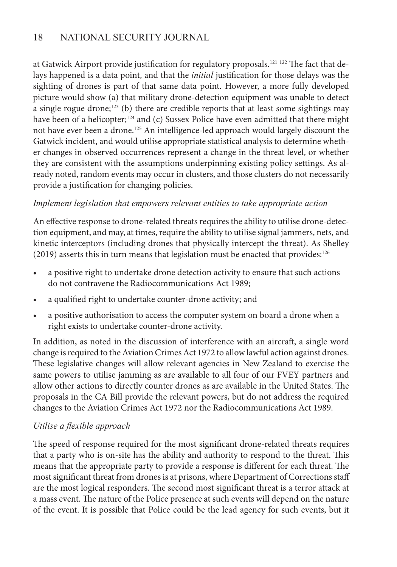at Gatwick Airport provide justification for regulatory proposals.<sup>121 122</sup> The fact that delays happened is a data point, and that the *initial* justification for those delays was the sighting of drones is part of that same data point. However, a more fully developed picture would show (a) that military drone-detection equipment was unable to detect a single rogue drone; $123$  (b) there are credible reports that at least some sightings may have been of a helicopter;<sup>124</sup> and (c) Sussex Police have even admitted that there might not have ever been a drone.125 An intelligence-led approach would largely discount the Gatwick incident, and would utilise appropriate statistical analysis to determine whether changes in observed occurrences represent a change in the threat level, or whether they are consistent with the assumptions underpinning existing policy settings. As already noted, random events may occur in clusters, and those clusters do not necessarily provide a justification for changing policies.

#### *Implement legislation that empowers relevant entities to take appropriate action*

An effective response to drone-related threats requires the ability to utilise drone-detection equipment, and may, at times, require the ability to utilise signal jammers, nets, and kinetic interceptors (including drones that physically intercept the threat). As Shelley  $(2019)$  asserts this in turn means that legislation must be enacted that provides:<sup>126</sup>

- a positive right to undertake drone detection activity to ensure that such actions do not contravene the Radiocommunications Act 1989;
- a qualified right to undertake counter-drone activity; and
- a positive authorisation to access the computer system on board a drone when a right exists to undertake counter-drone activity.

In addition, as noted in the discussion of interference with an aircraft, a single word change is required to the Aviation Crimes Act 1972 to allow lawful action against drones. These legislative changes will allow relevant agencies in New Zealand to exercise the same powers to utilise jamming as are available to all four of our FVEY partners and allow other actions to directly counter drones as are available in the United States. The proposals in the CA Bill provide the relevant powers, but do not address the required changes to the Aviation Crimes Act 1972 nor the Radiocommunications Act 1989.

#### *Utilise a flexible approach*

The speed of response required for the most significant drone-related threats requires that a party who is on-site has the ability and authority to respond to the threat. This means that the appropriate party to provide a response is different for each threat. The most significant threat from drones is at prisons, where Department of Corrections staff are the most logical responders. The second most significant threat is a terror attack at a mass event. The nature of the Police presence at such events will depend on the nature of the event. It is possible that Police could be the lead agency for such events, but it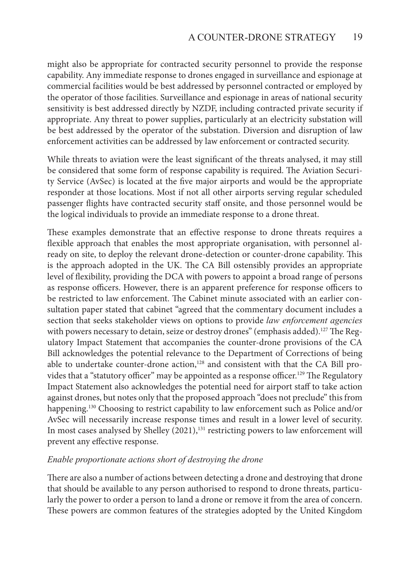might also be appropriate for contracted security personnel to provide the response capability. Any immediate response to drones engaged in surveillance and espionage at commercial facilities would be best addressed by personnel contracted or employed by the operator of those facilities. Surveillance and espionage in areas of national security sensitivity is best addressed directly by NZDF, including contracted private security if appropriate. Any threat to power supplies, particularly at an electricity substation will be best addressed by the operator of the substation. Diversion and disruption of law enforcement activities can be addressed by law enforcement or contracted security.

While threats to aviation were the least significant of the threats analysed, it may still be considered that some form of response capability is required. The Aviation Security Service (AvSec) is located at the five major airports and would be the appropriate responder at those locations. Most if not all other airports serving regular scheduled passenger flights have contracted security staff onsite, and those personnel would be the logical individuals to provide an immediate response to a drone threat.

These examples demonstrate that an effective response to drone threats requires a flexible approach that enables the most appropriate organisation, with personnel already on site, to deploy the relevant drone-detection or counter-drone capability. This is the approach adopted in the UK. The CA Bill ostensibly provides an appropriate level of flexibility, providing the DCA with powers to appoint a broad range of persons as response officers. However, there is an apparent preference for response officers to be restricted to law enforcement. The Cabinet minute associated with an earlier consultation paper stated that cabinet "agreed that the commentary document includes a section that seeks stakeholder views on options to provide *law enforcement agencies*  with powers necessary to detain, seize or destroy drones" (emphasis added).<sup>127</sup> The Regulatory Impact Statement that accompanies the counter-drone provisions of the CA Bill acknowledges the potential relevance to the Department of Corrections of being able to undertake counter-drone action,<sup>128</sup> and consistent with that the CA Bill provides that a "statutory officer" may be appointed as a response officer.<sup>129</sup> The Regulatory Impact Statement also acknowledges the potential need for airport staff to take action against drones, but notes only that the proposed approach "does not preclude" this from happening.<sup>130</sup> Choosing to restrict capability to law enforcement such as Police and/or AvSec will necessarily increase response times and result in a lower level of security. In most cases analysed by Shelley (2021),<sup>131</sup> restricting powers to law enforcement will prevent any effective response.

#### *Enable proportionate actions short of destroying the drone*

There are also a number of actions between detecting a drone and destroying that drone that should be available to any person authorised to respond to drone threats, particularly the power to order a person to land a drone or remove it from the area of concern. These powers are common features of the strategies adopted by the United Kingdom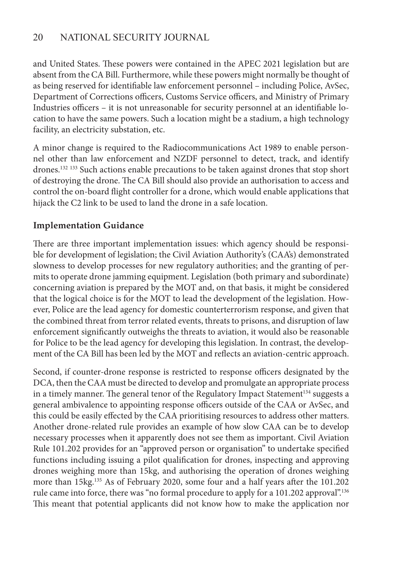and United States. These powers were contained in the APEC 2021 legislation but are absent from the CA Bill. Furthermore, while these powers might normally be thought of as being reserved for identifiable law enforcement personnel – including Police, AvSec, Department of Corrections officers, Customs Service officers, and Ministry of Primary Industries officers – it is not unreasonable for security personnel at an identifiable location to have the same powers. Such a location might be a stadium, a high technology facility, an electricity substation, etc.

A minor change is required to the Radiocommunications Act 1989 to enable personnel other than law enforcement and NZDF personnel to detect, track, and identify drones.<sup>132 133</sup> Such actions enable precautions to be taken against drones that stop short of destroying the drone. The CA Bill should also provide an authorisation to access and control the on-board flight controller for a drone, which would enable applications that hijack the C2 link to be used to land the drone in a safe location.

#### **Implementation Guidance**

There are three important implementation issues: which agency should be responsible for development of legislation; the Civil Aviation Authority's (CAA's) demonstrated slowness to develop processes for new regulatory authorities; and the granting of permits to operate drone jamming equipment. Legislation (both primary and subordinate) concerning aviation is prepared by the MOT and, on that basis, it might be considered that the logical choice is for the MOT to lead the development of the legislation. However, Police are the lead agency for domestic counterterrorism response, and given that the combined threat from terror related events, threats to prisons, and disruption of law enforcement significantly outweighs the threats to aviation, it would also be reasonable for Police to be the lead agency for developing this legislation. In contrast, the development of the CA Bill has been led by the MOT and reflects an aviation-centric approach.

Second, if counter-drone response is restricted to response officers designated by the DCA, then the CAA must be directed to develop and promulgate an appropriate process in a timely manner. The general tenor of the Regulatory Impact Statement<sup>134</sup> suggests a general ambivalence to appointing response officers outside of the CAA or AvSec, and this could be easily effected by the CAA prioritising resources to address other matters. Another drone-related rule provides an example of how slow CAA can be to develop necessary processes when it apparently does not see them as important. Civil Aviation Rule 101.202 provides for an "approved person or organisation" to undertake specified functions including issuing a pilot qualification for drones, inspecting and approving drones weighing more than 15kg, and authorising the operation of drones weighing more than 15kg.135 As of February 2020, some four and a half years after the 101.202 rule came into force, there was "no formal procedure to apply for a 101.202 approval".136 This meant that potential applicants did not know how to make the application nor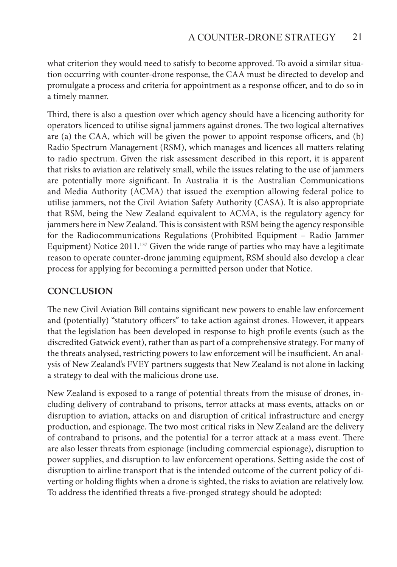what criterion they would need to satisfy to become approved. To avoid a similar situation occurring with counter-drone response, the CAA must be directed to develop and promulgate a process and criteria for appointment as a response officer, and to do so in a timely manner.

Third, there is also a question over which agency should have a licencing authority for operators licenced to utilise signal jammers against drones. The two logical alternatives are (a) the CAA, which will be given the power to appoint response officers, and (b) Radio Spectrum Management (RSM), which manages and licences all matters relating to radio spectrum. Given the risk assessment described in this report, it is apparent that risks to aviation are relatively small, while the issues relating to the use of jammers are potentially more significant. In Australia it is the Australian Communications and Media Authority (ACMA) that issued the exemption allowing federal police to utilise jammers, not the Civil Aviation Safety Authority (CASA). It is also appropriate that RSM, being the New Zealand equivalent to ACMA, is the regulatory agency for jammers here in New Zealand. This is consistent with RSM being the agency responsible for the Radiocommunications Regulations (Prohibited Equipment – Radio Jammer Equipment) Notice  $2011^{137}$  Given the wide range of parties who may have a legitimate reason to operate counter-drone jamming equipment, RSM should also develop a clear process for applying for becoming a permitted person under that Notice.

#### **CONCLUSION**

The new Civil Aviation Bill contains significant new powers to enable law enforcement and (potentially) "statutory officers" to take action against drones. However, it appears that the legislation has been developed in response to high profile events (such as the discredited Gatwick event), rather than as part of a comprehensive strategy. For many of the threats analysed, restricting powers to law enforcement will be insufficient. An analysis of New Zealand's FVEY partners suggests that New Zealand is not alone in lacking a strategy to deal with the malicious drone use.

New Zealand is exposed to a range of potential threats from the misuse of drones, including delivery of contraband to prisons, terror attacks at mass events, attacks on or disruption to aviation, attacks on and disruption of critical infrastructure and energy production, and espionage. The two most critical risks in New Zealand are the delivery of contraband to prisons, and the potential for a terror attack at a mass event. There are also lesser threats from espionage (including commercial espionage), disruption to power supplies, and disruption to law enforcement operations. Setting aside the cost of disruption to airline transport that is the intended outcome of the current policy of diverting or holding flights when a drone is sighted, the risks to aviation are relatively low. To address the identified threats a five-pronged strategy should be adopted: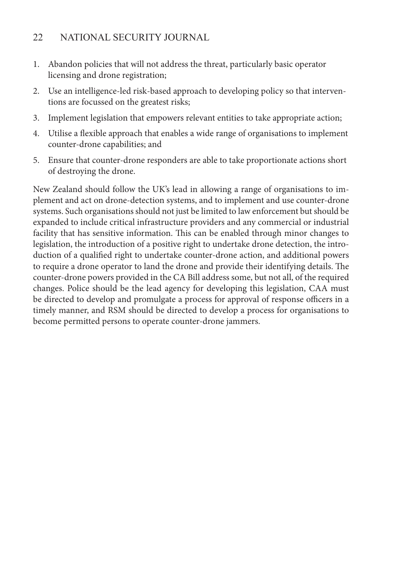- 1. Abandon policies that will not address the threat, particularly basic operator licensing and drone registration;
- 2. Use an intelligence-led risk-based approach to developing policy so that interventions are focussed on the greatest risks;
- 3. Implement legislation that empowers relevant entities to take appropriate action;
- 4. Utilise a flexible approach that enables a wide range of organisations to implement counter-drone capabilities; and
- 5. Ensure that counter-drone responders are able to take proportionate actions short of destroying the drone.

New Zealand should follow the UK's lead in allowing a range of organisations to implement and act on drone-detection systems, and to implement and use counter-drone systems. Such organisations should not just be limited to law enforcement but should be expanded to include critical infrastructure providers and any commercial or industrial facility that has sensitive information. This can be enabled through minor changes to legislation, the introduction of a positive right to undertake drone detection, the introduction of a qualified right to undertake counter-drone action, and additional powers to require a drone operator to land the drone and provide their identifying details. The counter-drone powers provided in the CA Bill address some, but not all, of the required changes. Police should be the lead agency for developing this legislation, CAA must be directed to develop and promulgate a process for approval of response officers in a timely manner, and RSM should be directed to develop a process for organisations to become permitted persons to operate counter-drone jammers.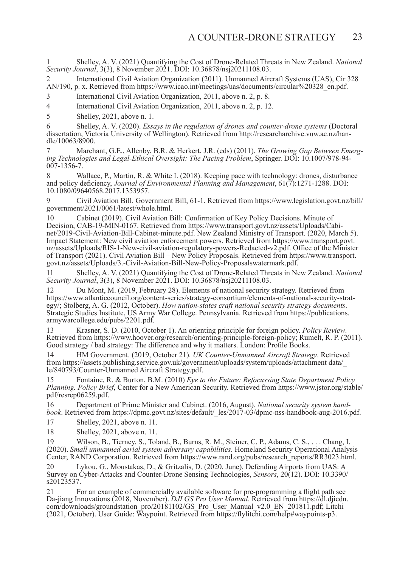1 Shelley, A. V. (2021) Quantifying the Cost of Drone-Related Threats in New Zealand. *National Security Journal*, 3(3), 8 November 2021. DOI: 10.36878/nsj20211108.03.

2 International Civil Aviation Organization (2011). Unmanned Aircraft Systems (UAS), Cir 328 AN/190, p. x. Retrieved from https://www.icao.int/meetings/uas/documents/circular%20328\_en.pdf.

3 International Civil Aviation Organization, 2011, above n. 2, p. 8.

4 International Civil Aviation Organization, 2011, above n. 2, p. 12.

5 Shelley, 2021, above n. 1.

6 Shelley, A. V. (2020). *Essays in the regulation of drones and counter-drone systems* (Doctoral dissertation, Victoria University of Wellington). Retrieved from http://researcharchive.vuw.ac.nz/handle/10063/8900.

7 Marchant, G.E., Allenby, B.R. & Herkert, J.R. (eds) (2011). *The Growing Gap Between Emerging Technologies and Legal-Ethical Oversight: The Pacing Problem*, Springer. DOI: 10.1007/978-94- 007-1356-7.

Wallace, P., Martin, R. & White I. (2018). Keeping pace with technology: drones, disturbance and policy deficiency, *Journal of Environmental Planning and Management*, 61(7):1271-1288. DOI: 10.1080/09640568.2017.1353957.

9 Civil Aviation Bill. Government Bill, 61-1. Retrieved from https://www.legislation.govt.nz/bill/ government/2021/0061/latest/whole.html.

10 Cabinet (2019). Civil Aviation Bill: Confirmation of Key Policy Decisions. Minute of Decision, CAB-19-MIN-0167. Retrieved from https://www.transport.govt.nz/assets/Uploads/Cabinet/2019-Civil-Aviation-Bill-Cabinet-minute.pdf. New Zealand Ministry of Transport. (2020, March 5). Impact Statement: New civil aviation enforcement powers. Retrieved from https://www.transport.govt. nz/assets/Uploads/RIS-1-New-civil-aviation-regulatory-powers-Redacted-v2.pdf. Office of the Minister of Transport (2021). Civil Aviation Bill – New Policy Proposals. Retrieved from https://www.transport. govt.nz/assets/Uploads/3.-Civil-Aviation-Bill-New-Policy-Proposalswatermark.pdf.

11 Shelley, A. V. (2021) Quantifying the Cost of Drone-Related Threats in New Zealand. *National Security Journal*, 3(3), 8 November 2021. DOI: 10.36878/nsj20211108.03.

12 Du Mont, M. (2019, February 28). Elements of national security strategy. Retrieved from<br>https://www.atlanticcouncil.org/content-series/strategy-consortium/elements-of-national-security-strategy/; Stolberg, A. G. (2012, October). How nation-states craft national security strategy documents.<br>Strategic Studies Institute, US Army War College. Pennsylvania. Retrieved from https://publications. armywarcollege.edu/pubs/2201.pdf.

13 Krasner, S. D. (2010, October 1). An orienting principle for foreign policy. *Policy Review*. Retrieved from https://www.hoover.org/research/orienting-principle-foreign-policy; Rumelt, R. P. (2011). Good strategy / bad strategy: The difference and why it matters. London: Profile Books.

14 HM Government. (2019, October 21). *UK Counter-Unmanned Aircraft Strategy*. Retrieved from https://assets.publishing.service.gov.uk/government/uploads/system/uploads/attachment data/\_ le/840793/Counter-Unmanned Aircraft Strategy.pdf.

15 Fontaine, R. & Burton, B.M. (2010) *Eye to the Future: Refocussing State Department Policy Planning. Policy Brief*, Center for a New American Security. Retrieved from https://www.jstor.org/stable/ pdf/resrep06259.pdf.

16 Department of Prime Minister and Cabinet. (2016, August). *National security system handbook*. Retrieved from https://dpmc.govt.nz/sites/default/\_les/2017-03/dpmc-nss-handbook-aug-2016.pdf.

17 Shelley, 2021, above n. 11.

18 Shelley, 2021, above n. 11.

19 Wilson, B., Tierney, S., Toland, B., Burns, R. M., Steiner, C. P., Adams, C. S., . . . Chang, I. (2020). *Small unmanned aerial system adversary capabilities*. Homeland Security Operational Analysis Center, RAND Corporation. Retrieved from https://www.rand.org/pubs/research\_reports/RR3023.html.

20 Lykou, G., Moustakas, D., & Gritzalis, D. (2020, June). Defending Airports from UAS: A Survey on Cyber-Attacks and Counter-Drone Sensing Technologies, *Sensors*, 20(12). DOI: 10.3390/ s20123537.

21 For an example of commercially available software for pre-programming a flight path see Da-jiang Innovations (2018, November). *DJI GS Pro User Manual*. Retrieved from https://dl.djicdn. com/downloads/groundstation\_pro/20181102/GS\_Pro\_User\_Manual\_v2.0\_EN\_201811.pdf; Litchi (2021, October). User Guide: Waypoint. Retrieved from https://flylitchi.com/help#waypoints-p3.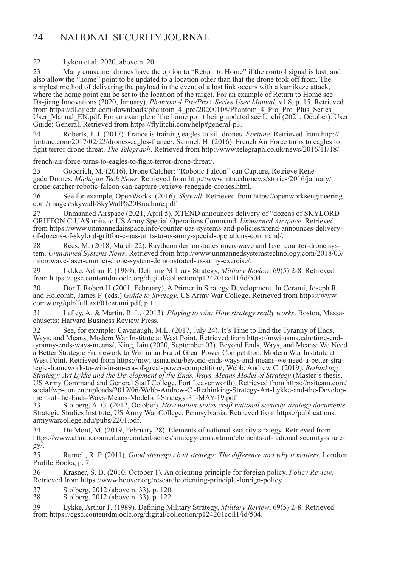22 Lykou et al, 2020, above n. 20.

23 Many consumer drones have the option to "Return to Home" if the control signal is lost, and also allow the "home" point to be updated to a location other than that the drone took off from. The simplest method of delivering the payload in the event of a lost link occurs with a kamikaze attack, where the home point can be set to the location of the target. For an example of Return to Home see Da-jiang Innovations (2020, January). *Phantom 4 Pro/Pro+ Series User Manual*, v1.8, p. 15. Retrieved from https://dl.djicdn.com/downloads/phantom\_4\_pro/20200108/Phantom\_4\_Pro\_Pro\_Plus\_Series\_ User\_Manual\_EN.pdf. For an example of the home point being updated see Litchi (2021, October). User Guide: General. Retrieved from https://flylitchi.com/help#general-p3.

24 Roberts, J. J. (2017). France is training eagles to kill drones. *Fortune*. Retrieved from http:// fortune.com/2017/02/22/drones-eagles-france/; Samuel, H. (2016). French Air Force turns to eagles to fight terror drone threat. *The Telegraph*. Retrieved from http://www.telegraph.co.uk/news/2016/11/18/

french-air-force-turns-to-eagles-to-fight-terror-drone-threat/.

25 Goodrich, M. (2016). Drone Catcher: "Robotic Falcon" can Capture, Retrieve Rene- gade Drones. *Michigan Tech News*. Retrieved from http://www.mtu.edu/news/stories/2016/january/ drone-catcher-robotic-falcon-can-capture-retrieve-renegade-drones.html.

26 See for example, OpenWorks. (2016). *Skywall*. Retrieved from https://openworksengineering. com/images/skywall/SkyWall%20Brochure.pdf.

27 Unmanned Airspace (2021, April 5). XTEND announces delivery of "dozens of SKYLORD GRIFFON C-UAS units to US Army Special Operations Command. *Unmanned Airspace*. Retrieved from https://www.unmannedairspace.info/counter-uas-systems-and-policies/xtend-announces-deliveryof-dozens-of-skylord-griffon-c-uas-units-to-us-army-special-operations-command/.

28 Rees, M. (2018, March 22). Raytheon demonstrates microwave and laser counter-drone system. *Unmanned Systems News*. Retrieved from http://www.unmannedsystemstechnology.com/2018/03/ microwave-laser-counter-drone-system-demonstrated-us-army-exercise/.

29 Lykke, Arthur F. (1989). Defining Military Strategy, *Military Review*, 69(5):2-8. Retrieved from https://cgsc.contentdm.oclc.org/digital/collection/p124201coll1/id/504.

30 Dorff, Robert H (2001, February). A Primer in Strategy Development. In Cerami, Joseph R. and Holcomb, James F. (eds.) *Guide to Strategy*, US Army War College. Retrieved from https://www. comw.org/qdr/fulltext/01cerami.pdf, p.11.

31 Lafley, A. & Martin, R. L. (2013). *Playing to win: How strategy really works*. Boston, Massachusetts: Harvard Business Review Press.

32 See, for example: Cavanaugh, M.L. (2017, July 24). It's Time to End the Tyranny of Ends, Ways, and Means, Modern War Institute at West Point. Retrieved from https://mwi.usma.edu/time-endtyranny-ends-ways-means/; King, Iain (2020, September 03). Beyond Ends, Ways, and Means: We Need a Better Strategic Framework to Win in an Era of Great Power Competition, Modern War Institute at West Point. Retrieved from https://mwi.usma.edu/beyond-ends-ways-and-means-we-need-a-better-strategic-framework-to-win-in-an-era-of-great-power-competition/; Webb, Andrew C. (2019). *Rethinking Strategy: Art Lykke and the Development of the Ends, Ways, Means Model of Strategy* (Master's thesis, US Army Command and General Staff College, Fort Leavenworth). Retrieved from https://nsiteam.com/ social/wp-content/uploads/2019/06/Webb-Andrew-C.-Rethinking-Strategy-Art-Lykke-and-the-Development-of-the-Ends-Ways-Means-Model-of-Strategy-31-MAY-19.pdf.<br>33 Stolberg A G (2012 October) How nation-states craft no

33 Stolberg, A. G. (2012, October). *How nation-states craft national security strategy documents*. Strategic Studies Institute, US Army War College. Pennsylvania. Retrieved from https://publications. armywarcollege.edu/pubs/2201.pdf.

34 Du Mont, M. (2019, February 28). Elements of national security strategy. Retrieved from https://www.atlanticcouncil.org/content-series/strategy-consortium/elements-of-national-security-strategy/.

35 Rumelt, R. P. (2011). *Good strategy / bad strategy: The difference and why it matters*. London: Profile Books, p. 7.

36 Krasner, S. D. (2010, October 1). An orienting principle for foreign policy. *Policy Review*. Retrieved from https://www.hoover.org/research/orienting-principle-foreign-policy.

37 Stolberg, 2012 (above n. 33), p. 120.<br>38 Stolberg, 2012 (above n. 33), p. 122.

Stolberg, 2012 (above n. 33), p. 122.

39 Lykke, Arthur F. (1989). Defining Military Strategy, *Military Review*, 69(5):2-8. Retrieved from https://cgsc.contentdm.oclc.org/digital/collection/p124201coll1/id/504.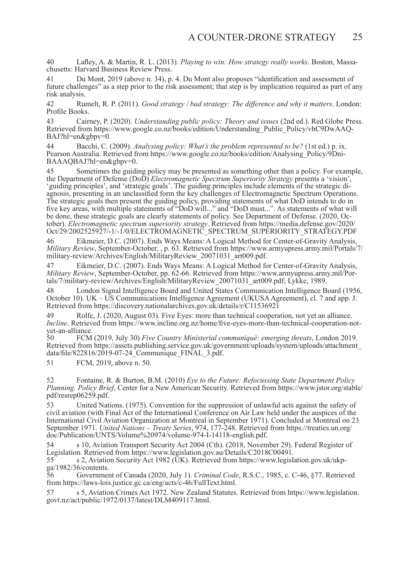40 Lafley, A. & Martin, R. L. (2013). *Playing to win: How strategy really works*. Boston, Massachusetts: Harvard Business Review Press.

41 Du Mont, 2019 (above n. 34), p. 4. Du Mont also proposes "identification and assessment of future challenges" as a step prior to the risk assessment; that step is by implication required as part of any risk analysis.

42 Rumelt, R. P. (2011). *Good strategy / bad strategy: The difference and why it matters*. London: Profile Books.

43 Cairney, P. (2020). *Understanding public policy: Theory and issues* (2nd ed.). Red Globe Press. Retrieved from https://www.google.co.nz/books/edition/Understanding\_Public\_Policy/vhC9DwAAQ- $BAJ?h$ l=en $&$ gbpy=0.

44 Bacchi, C. (2009). *Analysing policy: What's the problem represented to be?* (1st ed.) p. ix. Pearson Australia. Retrieved from https://www.google.co.nz/books/edition/Analysing\_Policy/9Dni-BAAAQBAJ?hl=en&gbpv=0.

45 Sometimes the guiding policy may be presented as something other than a policy. For example, the Department of Defense (DoD) *Electromagnetic Spectrum Superiority Strategy* presents a 'vision', 'guiding principles', and 'strategic goals'. The guiding principles include elements of the strategic diagnosis, presenting in an unclassified form the key challenges of Electromagnetic Spectrum Operations. The strategic goals then present the guiding policy, providing statements of what DoD intends to do in five key areas, with multiple statements of "DoD will..." and "DoD must...". As statements of what will be done, these strategic goals are clearly statements of policy. See Department of Defense. (2020, October). *Electromagnetic spectrum superiority strategy*. Retrieved from https://media.defense.gov/2020/ Oct/29/2002525927/-1/-1/0/ELECTROMAGNETIC\_SPECTRUM\_SUPERIORITY\_STRATEGY.PDF

46 Eikmeier, D.C. (2007). Ends Ways Means: A Logical Method for Center-of-Gravity Analysis, *Military Review*, September-October, , p. 63. Retrieved from https://www.armyupress.army.mil/Portals/7/ military-review/Archives/English/MilitaryReview\_20071031\_art009.pdf.

47 Eikmeier, D.C. (2007). Ends Ways Means: A Logical Method for Center-of-Gravity Analysis, *Military Review*, September-October, pp. 62-66. Retrieved from https://www.armyupress.army.mil/Portals/7/military-review/Archives/English/MilitaryReview\_20071031\_art009.pdf; Lykke, 1989.

48 London Signal Intelligence Board and United States Communication Intelligence Board (1956, October 10). UK – US Communications Intelligence Agreement (UKUSA Agreement), cl. 7 and app. J. Retrieved from https://discovery.nationalarchives.gov.uk/details/r/C11536921

49 Rolfe, J. (2020, August 03). Five Eyes: more than technical cooperation, not yet an alliance. *Incline*. Retrieved from https://www.incline.org.nz/home/five-eyes-more-than-technical-cooperation-notyet-an-alliance.<br>50 FCM

50 FCM (2019, July 30) *Five Country Ministerial communiqué: emerging threats*, London 2019. Retrieved from https://assets.publishing.service.gov.uk/government/uploads/system/uploads/attachment\_ data/file/822816/2019-07-24 Communique FINAL 3.pdf.

51 FCM, 2019, above n. 50.

52 Fontaine, R. & Burton, B.M. (2010) *Eye to the Future: Refocussing State Department Policy Planning. Policy Brief*, Center for a New American Security. Retrieved from https://www.jstor.org/stable/ pdf/resrep06259.pdf.

53 United Nations. (1975). Convention for the suppression of unlawful acts against the safety of civil aviation (with Final Act of the International Conference on Air Law held under the auspices of the International Civil Aviation Organization at Montreal in September 1971). Concluded at Montreal on 23 September 1971. *United Nations – Treaty Series*, 974, 177-248. Retrieved from https://treaties.un.org/ doc/Publication/UNTS/Volume%20974/volume-974-I-14118-english.pdf.

54 s 10, Aviation Transport Security Act 2004 (Cth). (2018, November 29). Federal Register of Legislation. Retrieved from https://www.legislation.gov.au/Details/C2018C00491.

55 s 2, Aviation Security Act 1982 (UK). Retrieved from https://www.legislation.gov.uk/ukpga/1982/36/contents.

56 Government of Canada (2020, July 1). *Criminal Code*, R.S.C., 1985, c. C-46, §77. Retrieved from https://laws-lois.justice.gc.ca/eng/acts/c-46/FullText.html.

57 s 5, Aviation Crimes Act 1972. New Zealand Statutes. Retrieved from https://www.legislation. govt.nz/act/public/1972/0137/latest/DLM409117.html.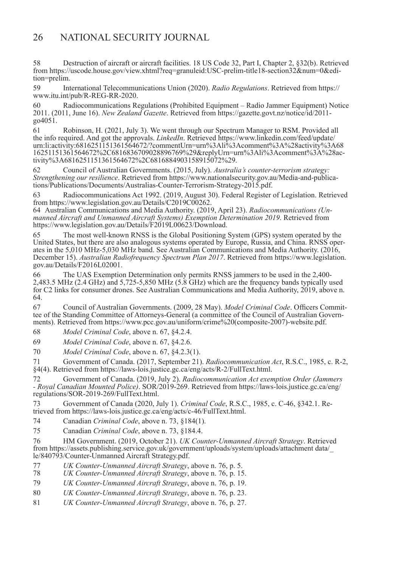58 Destruction of aircraft or aircraft facilities. 18 US Code 32, Part I, Chapter 2, §32(b). Retrieved from https://uscode.house.gov/view.xhtml?req=granuleid:USC-prelim-title18-section32&num=0&edition=prelim.

59 International Telecommunications Union (2020). *Radio Regulations*. Retrieved from https:// www.itu.int/pub/R-REG-RR-2020.

60 Radiocommunications Regulations (Prohibited Equipment – Radio Jammer Equipment) Notice 2011. (2011, June 16). *New Zealand Gazette*. Retrieved from https://gazette.govt.nz/notice/id/2011-  $904051$ .

61 Robinson, H. (2021, July 3). We went through our Spectrum Manager to RSM. Provided all the info required. And got the approvals. *LinkedIn*. Retrieved https://www.linkedin.com/feed/update/ urn:li:activity:6816251151361564672/?commentUrn=urn%3Ali%3Acomment%3A%28activity%3A68 16251151361564672%2C6816836709028896769%29&replyUrn=urn%3Ali%3Acomment%3A%28activity%3A6816251151361564672%2C6816884903158915072%29.

62 Council of Australian Governments. (2015, July). *Australia's counter-terrorism strategy: Strengthening our resilience*. Retrieved from https://www.nationalsecurity.gov.au/Media-and-publica- tions/Publications/Documents/Australias-Counter-Terrorism-Strategy-2015.pdf.

63 Radiocommunications Act 1992. (2019, August 30). Federal Register of Legislation. Retrieved from https://www.legislation.gov.au/Details/C2019C00262.

64 Australian Communications and Media Authority. (2019, April 23). *Radiocommunications (Unmanned Aircraft and Unmanned Aircraft Systems) Exemption Determination 2019*. Retrieved from https://www.legislation.gov.au/Details/F2019L00623/Download.

65 The most well-known RNSS is the Global Positioning System (GPS) system operated by the United States, but there are also analogous systems operated by Europe, Russia, and China. RNSS operates in the 5,010 MHz-5,030 MHz band. See Australian Communications and Media Authority. (2016, December 15). *Australian Radiofrequency Spectrum Plan 2017*. Retrieved from https://www.legislation. gov.au/Details/F2016L02001.

66 The UAS Exemption Determination only permits RNSS jammers to be used in the 2,400- 2,483.5 MHz (2.4 GHz) and 5,725-5,850 MHz (5.8 GHz) which are the frequency bands typically used for C2 links for consumer drones. See Australian Communications and Media Authority, 2019, above n. 64.

67 Council of Australian Governments. (2009, 28 May). *Model Criminal Code*. Officers Committee of the Standing Committee of Attorneys-General (a committee of the Council of Australian Governments). Retrieved from https://www.pcc.gov.au/uniform/crime%20(composite-2007)-website.pdf.

68 *Model Criminal Code*, above n. 67, §4.2.4.

69 *Model Criminal Code*, above n. 67, §4.2.6.

70 *Model Criminal Code*, above n. 67, §4.2.3(1).

71 Government of Canada. (2017, September 21). *Radiocommunication Act*, R.S.C., 1985, c. R-2, §4(4). Retrieved from https://laws-lois.justice.gc.ca/eng/acts/R-2/FullText.html.

72 Government of Canada. (2019, July 2). *Radiocommunication Act exemption Order (Jammers - Royal Canadian Mounted Police)*. SOR/2019-269. Retrieved from https://laws-lois.justice.gc.ca/eng/ regulations/SOR-2019-269/FullText.html.

73 Government of Canada (2020, July 1). *Criminal Code*, R.S.C., 1985, c. C-46, §342.1. Re- trieved from https://laws-lois.justice.gc.ca/eng/acts/c-46/FullText.html.

74 Canadian *Criminal Code*, above n. 73, §184(1).

75 Canadian *Criminal Code*, above n. 73, §184.4.

76 HM Government. (2019, October 21). *UK Counter-Unmanned Aircraft Strategy*. Retrieved from https://assets.publishing.service.gov.uk/government/uploads/system/uploads/attachment data/\_ le/840793/Counter-Unmanned Aircraft Strategy.pdf.

77 *UK Counter-Unmanned Aircraft Strategy*, above n. 76, p. 5.

78 *UK Counter-Unmanned Aircraft Strategy*, above n. 76, p. 15.

79 *UK Counter-Unmanned Aircraft Strategy*, above n. 76, p. 19.

80 *UK Counter-Unmanned Aircraft Strategy*, above n. 76, p. 23.

81 *UK Counter-Unmanned Aircraft Strategy*, above n. 76, p. 27.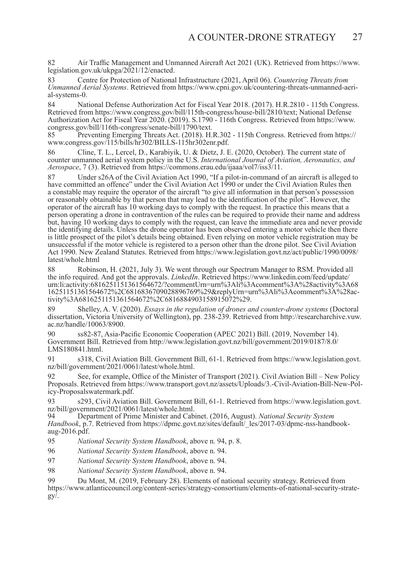82 Air Traffic Management and Unmanned Aircraft Act 2021 (UK). Retrieved from https://www. legislation.gov.uk/ukpga/2021/12/enacted.

83 Centre for Protection of National Infrastructure (2021, April 06). *Countering Threats from Unmanned Aerial Systems*. Retrieved from https://www.cpni.gov.uk/countering-threats-unmanned-aerial-systems-0.

84 National Defense Authorization Act for Fiscal Year 2018. (2017). H.R.2810 - 115th Congress. Retrieved from https://www.congress.gov/bill/115th-congress/house-bill/2810/text; National Defense Authorization Act for Fiscal Year 2020. (2019). S.1790 - 116th Congress. Retrieved from https://www. congress.gov/bill/116th-congress/senate-bill/1790/text.

85 Preventing Emerging Threats Act. (2018). H.R.302 - 115th Congress. Retrieved from https:// www.congress.gov/115/bills/hr302/BILLS-115hr302enr.pdf.

86 Cline, T. L., Lercel, D., Karabiyik, U. & Dietz, J. E. (2020, October). The current state of counter unmanned aerial system policy in the U.S. *International Journal of Aviation, Aeronautics, and Aerospace*, 7 (3). Retrieved from https://commons.erau.edu/ijaaa/vol7/iss3/11.

87 Under s26A of the Civil Aviation Act 1990, "If a pilot-in-command of an aircraft is alleged to have committed an offence" under the Civil Aviation Act 1990 or under the Civil Aviation Rules then a constable may require the operator of the aircraft "to give all information in that person's possession or reasonably obtainable by that person that may lead to the identification of the pilot". However, the operator of the aircraft has 10 working days to comply with the request. In practice this means that a person operating a drone in contravention of the rules can be required to provide their name and address but, having 10 working days to comply with the request, can leave the immediate area and never provide the identifying details. Unless the drone operator has been observed entering a motor vehicle then there is little prospect of the pilot's details being obtained. Even relying on motor vehicle registration may be unsuccessful if the motor vehicle is registered to a person other than the drone pilot. See Civil Aviation Act 1990. New Zealand Statutes. Retrieved from https://www.legislation.govt.nz/act/public/1990/0098/ latest/whole.html

88 Robinson, H. (2021, July 3). We went through our Spectrum Manager to RSM. Provided all the info required. And got the approvals. *LinkedIn*. Retrieved https://www.linkedin.com/feed/update/ urn:li:activity:6816251151361564672/?commentUrn=urn%3Ali%3Acomment%3A%28activity%3A68 16251151361564672%2C6816836709028896769%29&replyUrn=urn%3Ali%3Acomment%3A%28activity%3A6816251151361564672%2C6816884903158915072%29.

89 Shelley, A. V. (2020). *Essays in the regulation of drones and counter-drone systems* (Doctoral dissertation, Victoria University of Wellington), pp. 238-239. Retrieved from http://researcharchive.vuw. ac.nz/handle/10063/8900.

90 ss82-87, Asia-Pacific Economic Cooperation (APEC 2021) Bill. (2019, November 14). Government Bill. Retrieved from http://www.legislation.govt.nz/bill/government/2019/0187/8.0/ LMS180841.html.

91 s318, Civil Aviation Bill. Government Bill, 61-1. Retrieved from https://www.legislation.govt. nz/bill/government/2021/0061/latest/whole.html.

See, for example, Office of the Minister of Transport (2021). Civil Aviation Bill – New Policy Proposals. Retrieved from https://www.transport.govt.nz/assets/Uploads/3.-Civil-Aviation-Bill-New-Pol- icy-Proposalswatermark.pdf.

93 s293, Civil Aviation Bill. Government Bill, 61-1. Retrieved from https://www.legislation.govt. nz/bill/government/2021/0061/latest/whole.html.<br>94 Department of Prime Minister and Cab

94 Department of Prime Minister and Cabinet. (2016, August). *National Security System Handbook*, p.7. Retrieved from https://dpmc.govt.nz/sites/default/\_les/2017-03/dpmc-nss-handbookaug-2016.pdf.

95 *National Security System Handbook*, above n. 94, p. 8.

96 *National Security System Handbook*, above n. 94.

97 *National Security System Handbook*, above n. 94.

98 *National Security System Handbook*, above n. 94.

99 Du Mont, M. (2019, February 28). Elements of national security strategy. Retrieved from https://www.atlanticcouncil.org/content-series/strategy-consortium/elements-of-national-security-strategy/.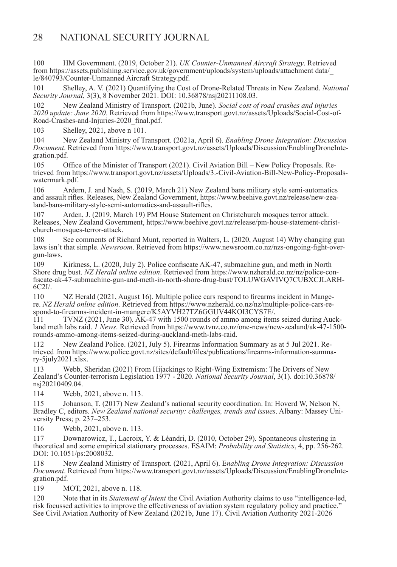100 HM Government. (2019, October 21). *UK Counter-Unmanned Aircraft Strategy*. Retrieved from https://assets.publishing.service.gov.uk/government/uploads/system/uploads/attachment data/ le/840793/Counter-Unmanned Aircraft Strategy.pdf.

101 Shelley, A. V. (2021) Quantifying the Cost of Drone-Related Threats in New Zealand. *National Security Journal*, 3(3), 8 November 2021. DOI: 10.36878/nsj20211108.03.

102 New Zealand Ministry of Transport. (2021b, June). *Social cost of road crashes and injuries 2020 update: June 2020*. Retrieved from https://www.transport.govt.nz/assets/Uploads/Social-Cost-of-Road-Crashes-and-Injuries-2020\_final.pdf.

103 Shelley, 2021, above n 101.

104 New Zealand Ministry of Transport. (2021a, April 6). *Enabling Drone Integration: Discussion Document*. Retrieved from https://www.transport.govt.nz/assets/Uploads/Discussion/EnablingDroneInte- gration.pdf.

105 Office of the Minister of Transport (2021). Civil Aviation Bill – New Policy Proposals. Retrieved from https://www.transport.govt.nz/assets/Uploads/3.-Civil-Aviation-Bill-New-Policy-Proposalswatermark.pdf.

106 Ardern, J. and Nash, S. (2019, March 21) New Zealand bans military style semi-automatics and assault rifles. Releases, New Zealand Government, https://www.beehive.govt.nz/release/new-zealand-bans-military-style-semi-automatics-and-assault-rifles.

107 Arden, J. (2019, March 19) PM House Statement on Christchurch mosques terror attack. Releases, New Zealand Government, https://www.beehive.govt.nz/release/pm-house-statement-christchurch-mosques-terror-attack.

108 See comments of Richard Munt, reported in Walters, L. (2020, August 14) Why changing gun laws isn't that simple. *Newsroom*. Retrieved from https://www.newsroom.co.nz/nzs-ongoing-fight-overgun-laws.

109 Kirkness, L. (2020, July 2). Police confiscate AK-47, submachine gun, and meth in North Shore drug bust. *NZ Herald online edition*. Retrieved from https://www.nzherald.co.nz/nz/police-confiscate-ak-47-submachine-gun-and-meth-in-north-shore-drug-bust/TOLUWGAVIVQ7CUBXCJLARH-6C2I/.

110 NZ Herald (2021, August 16). Multiple police cars respond to firearms incident in Mangere. *NZ Herald online edition*. Retrieved from https://www.nzherald.co.nz/nz/multiple-police-cars-respond-to-firearms-incident-in-mangere/K5AYVH27TZ6GGUV44KOI3CYS7E/.<br>111 TVNZ (2021, June 30), AK-47 with 1500 rounds of ammo among item

TVNZ (2021, June 30).  $\Delta K$ -47 with 1500 rounds of ammo among items seized during Auckland meth labs raid. *1 News*. Retrieved from https://www.tvnz.co.nz/one-news/new-zealand/ak-47-1500 rounds-ammo-among-items-seized-during-auckland-meth-labs-raid.

112 New Zealand Police. (2021, July 5). Firearms Information Summary as at 5 Jul 2021. Re- trieved from https://www.police.govt.nz/sites/default/files/publications/firearms-information-summa- ry-5july2021.xlsx.

113 Webb, Sheridan (2021) From Hijackings to Right-Wing Extremism: The Drivers of New Zealand's Counter-terrorism Legislation 1977 - 2020. *National Security Journal*, 3(1). doi:10.36878/ nsj20210409.04.

114 Webb, 2021, above n. 113.

115 Johanson, T. (2017) New Zealand's national security coordination. In: Hoverd W, Nelson N, Bradley C, editors. *New Zealand national security: challenges, trends and issues*. Albany: Massey University Press; p. 237–253.

116 Webb, 2021, above n. 113.

117 Downarowicz, T., Lacroix, Y. & Léandri, D. (2010, October 29). Spontaneous clustering in theoretical and some empirical stationary processes. ESAIM: *Probability and Statistics*, 4, pp. 256-262. DOI: 10.1051/ps:2008032.

118 New Zealand Ministry of Transport. (2021, April 6). E*nabling Drone Integration: Discussion Document*. Retrieved from https://www.transport.govt.nz/assets/Uploads/Discussion/EnablingDroneIntegration.pdf.

119 MOT, 2021, above n. 118.

120 Note that in its *Statement of Intent* the Civil Aviation Authority claims to use "intelligence-led, risk focussed activities to improve the effectiveness of aviation system regulatory policy and practice." See Civil Aviation Authority of New Zealand (2021b, June 17). Civil Aviation Authority 2021-2026